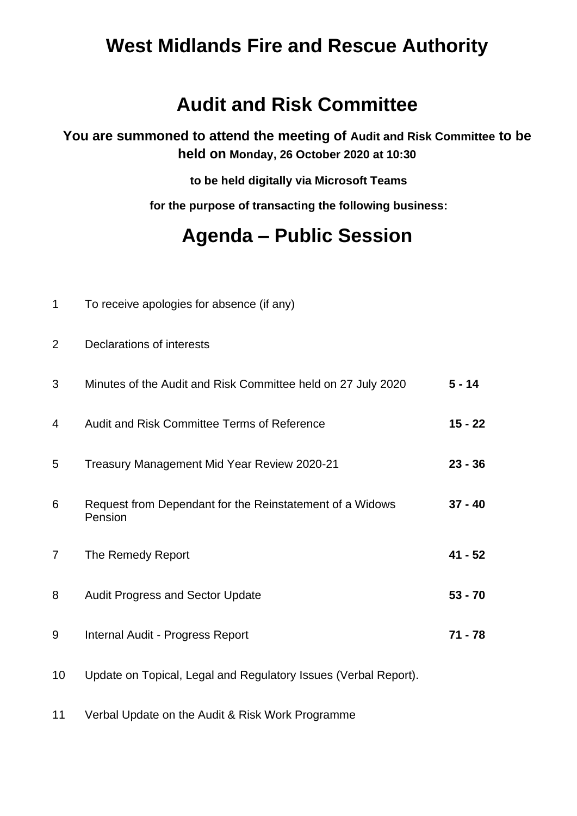## **West Midlands Fire and Rescue Authority**

## **Audit and Risk Committee**

**You are summoned to attend the meeting of Audit and Risk Committee to be held on Monday, 26 October 2020 at 10:30**

**to be held digitally via Microsoft Teams**

**for the purpose of transacting the following business:**

## **Agenda – Public Session**

| $\mathbf 1$    | To receive apologies for absence (if any)                           |           |
|----------------|---------------------------------------------------------------------|-----------|
| $\overline{2}$ | <b>Declarations of interests</b>                                    |           |
| 3              | Minutes of the Audit and Risk Committee held on 27 July 2020        | $5 - 14$  |
| 4              | Audit and Risk Committee Terms of Reference                         | $15 - 22$ |
| 5              | Treasury Management Mid Year Review 2020-21                         | $23 - 36$ |
| 6              | Request from Dependant for the Reinstatement of a Widows<br>Pension | $37 - 40$ |
| $\overline{7}$ | The Remedy Report                                                   | $41 - 52$ |
| 8              | <b>Audit Progress and Sector Update</b>                             | $53 - 70$ |
| 9              | Internal Audit - Progress Report                                    | $71 - 78$ |
| 10             | Update on Topical, Legal and Regulatory Issues (Verbal Report).     |           |
| 11             | Verbal Update on the Audit & Risk Work Programme                    |           |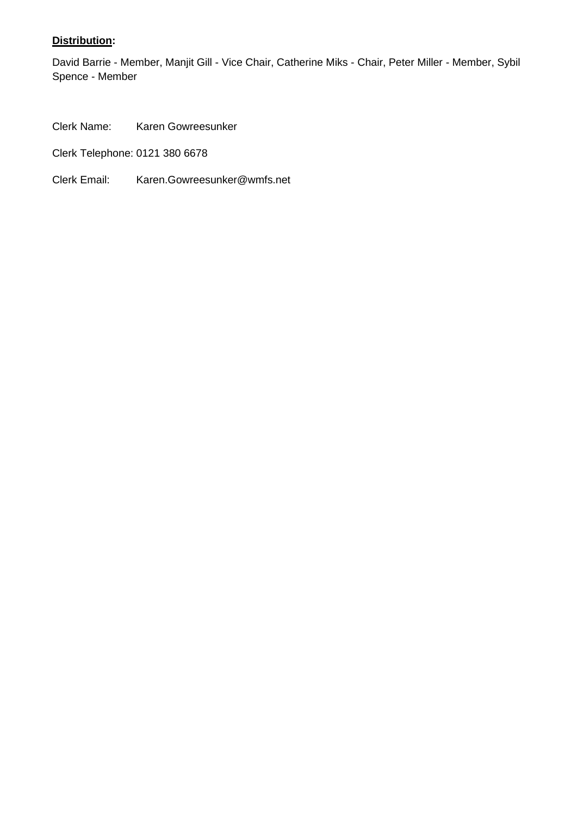## **Distribution:**

David Barrie - Member, Manjit Gill - Vice Chair, Catherine Miks - Chair, Peter Miller - Member, Sybil Spence - Member

Clerk Name: Karen Gowreesunker

Clerk Telephone: 0121 380 6678

Clerk Email: Karen.Gowreesunker@wmfs.net